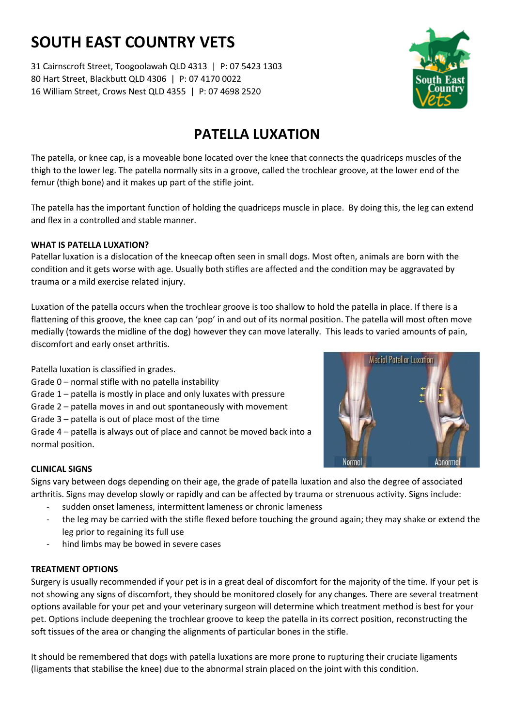# **SOUTH EAST COUNTRY VETS**

31 Cairnscroft Street, Toogoolawah QLD 4313 | P: 07 5423 1303 80 Hart Street, Blackbutt QLD 4306 | P: 07 4170 0022 16 William Street, Crows Nest QLD 4355 | P: 07 4698 2520



# **PATELLA LUXATION**

The patella, or knee cap, is a moveable bone located over the knee that connects the quadriceps muscles of the thigh to the lower leg. The patella normally sits in a groove, called the trochlear groove, at the lower end of the femur (thigh bone) and it makes up part of the stifle joint.

The patella has the important function of holding the quadriceps muscle in place. By doing this, the leg can extend and flex in a controlled and stable manner.

## **WHAT IS PATELLA LUXATION?**

Patellar luxation is a dislocation of the kneecap often seen in small dogs. Most often, animals are born with the condition and it gets worse with age. Usually both stifles are affected and the condition may be aggravated by trauma or a mild exercise related injury.

Luxation of the patella occurs when the trochlear groove is too shallow to hold the patella in place. If there is a flattening of this groove, the knee cap can 'pop' in and out of its normal position. The patella will most often move medially (towards the midline of the dog) however they can move laterally. This leads to varied amounts of pain, discomfort and early onset arthritis.

Patella luxation is classified in grades.

- Grade 0 normal stifle with no patella instability
- Grade 1 patella is mostly in place and only luxates with pressure
- Grade 2 patella moves in and out spontaneously with movement
- Grade 3 patella is out of place most of the time

Grade 4 – patella is always out of place and cannot be moved back into a normal position.



# **CLINICAL SIGNS**

Signs vary between dogs depending on their age, the grade of patella luxation and also the degree of associated arthritis. Signs may develop slowly or rapidly and can be affected by trauma or strenuous activity. Signs include:

- sudden onset lameness, intermittent lameness or chronic lameness
- the leg may be carried with the stifle flexed before touching the ground again; they may shake or extend the leg prior to regaining its full use
- hind limbs may be bowed in severe cases

### **TREATMENT OPTIONS**

Surgery is usually recommended if your pet is in a great deal of discomfort for the majority of the time. If your pet is not showing any signs of discomfort, they should be monitored closely for any changes. There are several treatment options available for your pet and your veterinary surgeon will determine which treatment method is best for your pet. Options include deepening the trochlear groove to keep the patella in its correct position, reconstructing the soft tissues of the area or changing the alignments of particular bones in the stifle.

It should be remembered that dogs with patella luxations are more prone to rupturing their cruciate ligaments (ligaments that stabilise the knee) due to the abnormal strain placed on the joint with this condition.